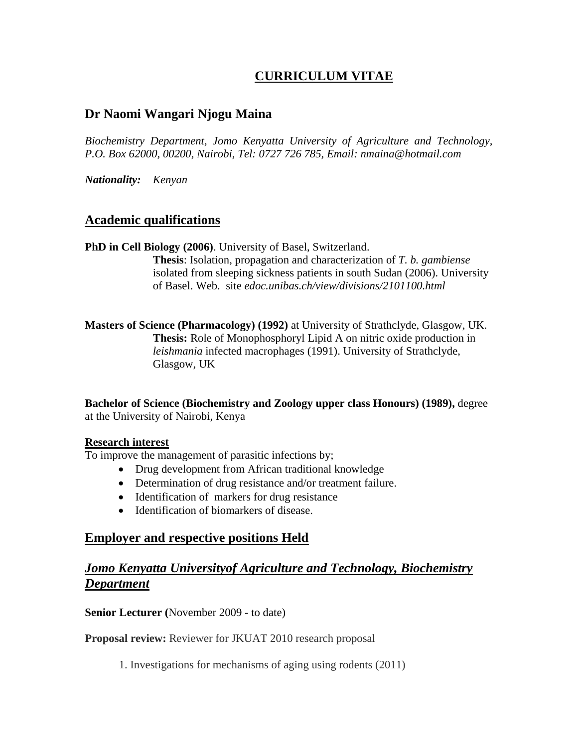# **CURRICULUM VITAE**

## **Dr Naomi Wangari Njogu Maina**

*Biochemistry Department, Jomo Kenyatta University of Agriculture and Technology, P.O. Box 62000, 00200, Nairobi, Tel: 0727 726 785, Email: nmaina@hotmail.com*

*Nationality: Kenyan*

#### **Academic qualifications**

**PhD in Cell Biology (2006)**. University of Basel, Switzerland. **Thesis**: Isolation, propagation and characterization of *T. b. gambiense* isolated from sleeping sickness patients in south Sudan (2006). University of Basel. Web. site *edoc.unibas.ch/view/divisions/2101100.html*

**Masters of Science (Pharmacology) (1992)** at University of Strathclyde, Glasgow, UK. **Thesis:** Role of Monophosphoryl Lipid A on nitric oxide production in *leishmania* infected macrophages (1991). University of Strathclyde, Glasgow, UK

**Bachelor of Science (Biochemistry and Zoology upper class Honours) (1989),** degree at the University of Nairobi, Kenya

#### **Research interest**

To improve the management of parasitic infections by;

- Drug development from African traditional knowledge
- Determination of drug resistance and/or treatment failure.
- Identification of markers for drug resistance
- Identification of biomarkers of disease.

## **Employer and respective positions Held**

## *Jomo Kenyatta Universityof Agriculture and Technology, Biochemistry Department*

**Senior Lecturer (**November 2009 - to date)

**Proposal review:** Reviewer for JKUAT 2010 research proposal

1. Investigations for mechanisms of aging using rodents (2011)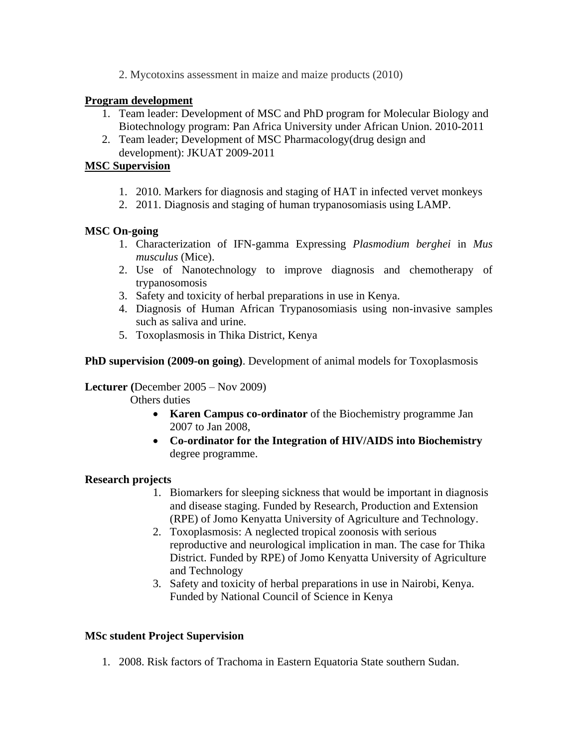2. Mycotoxins assessment in maize and maize products (2010)

#### **Program development**

- 1. Team leader: Development of MSC and PhD program for Molecular Biology and Biotechnology program: Pan Africa University under African Union. 2010-2011
- 2. Team leader; Development of MSC Pharmacology(drug design and development): JKUAT 2009-2011

#### **MSC Supervision**

- 1. 2010. Markers for diagnosis and staging of HAT in infected vervet monkeys
- 2. 2011. Diagnosis and staging of human trypanosomiasis using LAMP.

#### **MSC On-going**

- 1. Characterization of IFN-gamma Expressing *Plasmodium berghei* in *Mus musculus* (Mice).
- 2. Use of Nanotechnology to improve diagnosis and chemotherapy of trypanosomosis
- 3. Safety and toxicity of herbal preparations in use in Kenya.
- 4. Diagnosis of Human African Trypanosomiasis using non-invasive samples such as saliva and urine.
- 5. Toxoplasmosis in Thika District, Kenya

#### **PhD supervision (2009-on going)**. Development of animal models for Toxoplasmosis

#### **Lecturer (**December 2005 – Nov 2009)

Others duties

- **Karen Campus co-ordinator** of the Biochemistry programme Jan 2007 to Jan 2008,
- **Co-ordinator for the Integration of HIV/AIDS into Biochemistry** degree programme.

### **Research projects**

- 1. Biomarkers for sleeping sickness that would be important in diagnosis and disease staging. Funded by Research, Production and Extension (RPE) of Jomo Kenyatta University of Agriculture and Technology.
- 2. Toxoplasmosis: A neglected tropical zoonosis with serious reproductive and neurological implication in man. The case for Thika District. Funded by RPE) of Jomo Kenyatta University of Agriculture and Technology
- 3. Safety and toxicity of herbal preparations in use in Nairobi, Kenya. Funded by National Council of Science in Kenya

#### **MSc student Project Supervision**

1. 2008. Risk factors of Trachoma in Eastern Equatoria State southern Sudan.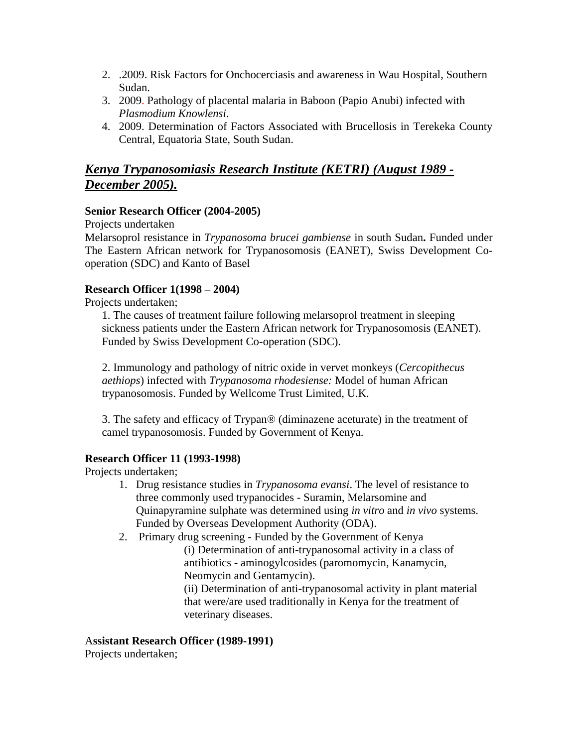- 2. .2009. Risk Factors for Onchocerciasis and awareness in Wau Hospital, Southern Sudan.
- 3. 2009. Pathology of placental malaria in Baboon (Papio Anubi) infected with *Plasmodium Knowlensi*.
- 4. 2009. Determination of Factors Associated with Brucellosis in Terekeka County Central, Equatoria State, South Sudan.

# *Kenya Trypanosomiasis Research Institute (KETRI) (August 1989 - December 2005).*

#### **Senior Research Officer (2004-2005)**

Projects undertaken

Melarsoprol resistance in *Trypanosoma brucei gambiense* in south Sudan**.** Funded under The Eastern African network for Trypanosomosis (EANET), Swiss Development Cooperation (SDC) and Kanto of Basel

#### **Research Officer 1(1998 – 2004)**

Projects undertaken;

1. The causes of treatment failure following melarsoprol treatment in sleeping sickness patients under the Eastern African network for Trypanosomosis (EANET). Funded by Swiss Development Co-operation (SDC).

2. Immunology and pathology of nitric oxide in vervet monkeys (*Cercopithecus aethiops*) infected with *Trypanosoma rhodesiense:* Model of human African trypanosomosis. Funded by Wellcome Trust Limited, U.K.

3. The safety and efficacy of Trypan® (diminazene aceturate) in the treatment of camel trypanosomosis. Funded by Government of Kenya.

#### **Research Officer 11 (1993-1998)**

Projects undertaken;

- 1. Drug resistance studies in *Trypanosoma evansi*. The level of resistance to three commonly used trypanocides - Suramin, Melarsomine and Quinapyramine sulphate was determined using *in vitro* and *in vivo* systems. Funded by Overseas Development Authority (ODA).
- 2. Primary drug screening Funded by the Government of Kenya
	- (i) Determination of anti-trypanosomal activity in a class of antibiotics - aminogylcosides (paromomycin, Kanamycin, Neomycin and Gentamycin).

(ii) Determination of anti-trypanosomal activity in plant material that were/are used traditionally in Kenya for the treatment of veterinary diseases.

A**ssistant Research Officer (1989-1991)**

Projects undertaken;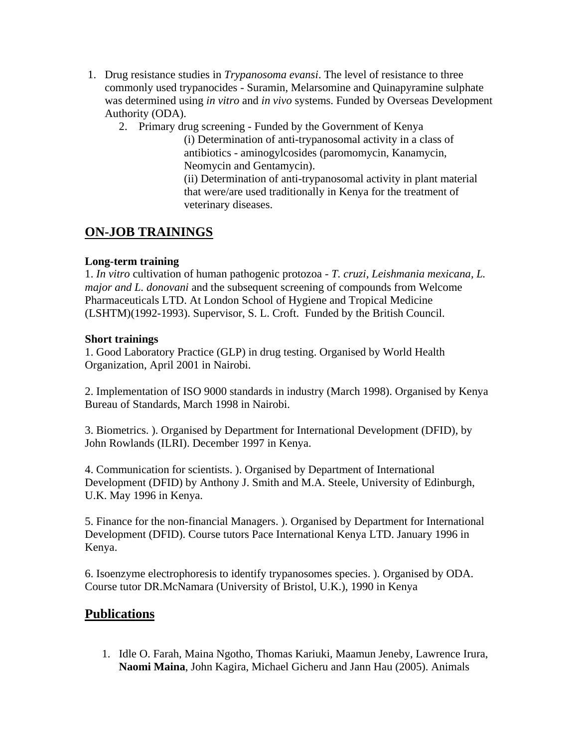- 1. Drug resistance studies in *Trypanosoma evansi*. The level of resistance to three commonly used trypanocides - Suramin, Melarsomine and Quinapyramine sulphate was determined using *in vitro* and *in vivo* systems. Funded by Overseas Development Authority (ODA).
	- 2. Primary drug screening Funded by the Government of Kenya

(i) Determination of anti-trypanosomal activity in a class of antibiotics - aminogylcosides (paromomycin, Kanamycin, Neomycin and Gentamycin).

(ii) Determination of anti-trypanosomal activity in plant material that were/are used traditionally in Kenya for the treatment of veterinary diseases.

# **ON-JOB TRAININGS**

#### **Long-term training**

1. *In vitro* cultivation of human pathogenic protozoa - *T. cruzi, Leishmania mexicana, L. major and L. donovani* and the subsequent screening of compounds from Welcome Pharmaceuticals LTD. At London School of Hygiene and Tropical Medicine (LSHTM)(1992-1993). Supervisor, S. L. Croft. Funded by the British Council.

#### **Short trainings**

1. Good Laboratory Practice (GLP) in drug testing. Organised by World Health Organization, April 2001 in Nairobi.

2. Implementation of ISO 9000 standards in industry (March 1998). Organised by Kenya Bureau of Standards, March 1998 in Nairobi.

3. Biometrics. ). Organised by Department for International Development (DFID), by John Rowlands (ILRI). December 1997 in Kenya.

4. Communication for scientists. ). Organised by Department of International Development (DFID) by Anthony J. Smith and M.A. Steele, University of Edinburgh, U.K. May 1996 in Kenya.

5. Finance for the non-financial Managers. ). Organised by Department for International Development (DFID). Course tutors Pace International Kenya LTD. January 1996 in Kenya.

6. Isoenzyme electrophoresis to identify trypanosomes species. ). Organised by ODA. Course tutor DR.McNamara (University of Bristol, U.K.), 1990 in Kenya

## **Publications**

1. Idle O. Farah, Maina Ngotho, Thomas Kariuki, Maamun Jeneby, Lawrence Irura, **Naomi Maina**, John Kagira, Michael Gicheru and Jann Hau (2005). Animals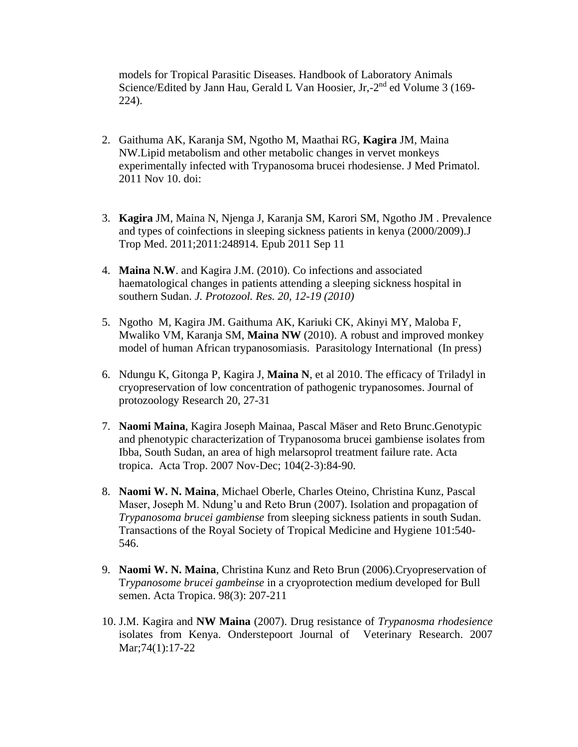models for Tropical Parasitic Diseases. Handbook of Laboratory Animals Science/Edited by Jann Hau, Gerald L Van Hoosier, Jr,-2<sup>nd</sup> ed Volume 3 (169-224).

- 2. Gaithuma AK, Karanja SM, Ngotho M, Maathai RG, **Kagira** JM, Maina NW[.Lipid metabolism and other metabolic changes in vervet monkeys](http://www.ncbi.nlm.nih.gov/pubmed/22070162)  [experimentally infected with Trypanosoma brucei rhodesiense.](http://www.ncbi.nlm.nih.gov/pubmed/22070162) J Med Primatol. 2011 Nov 10. doi:
- 3. **Kagira** JM, Maina N, Njenga J, Karanja SM, Karori SM, Ngotho JM . [Prevalence](http://www.ncbi.nlm.nih.gov/pubmed/21915184)  [and types of coinfections in sleeping sickness patients in kenya \(2000/2009\).J](http://www.ncbi.nlm.nih.gov/pubmed/21915184) Trop Med. 2011;2011:248914. Epub 2011 Sep 11
- 4. **Maina N.W**. and Kagira J.M. (2010). Co infections and associated haematological changes in patients attending a sleeping sickness hospital in southern Sudan. *J. Protozool. Res. 20, 12-19 (2010)*
- 5. Ngotho M, Kagira JM. Gaithuma AK, Kariuki CK, Akinyi MY, Maloba F, Mwaliko VM, Karanja SM, **Maina NW** (2010). A robust and improved monkey model of human African trypanosomiasis. Parasitology International (In press)
- 6. Ndungu K, Gitonga P, Kagira J, **Maina N**, et al 2010. The efficacy of Triladyl in cryopreservation of low concentration of pathogenic trypanosomes. Journal of protozoology Research 20, 27-31
- 7. **Naomi Maina**, Kagira Joseph Mainaa, Pascal Mäser and Reto Brunc.Genotypic and phenotypic characterization of Trypanosoma brucei gambiense isolates from Ibba, South Sudan, an area of high melarsoprol treatment failure rate. Acta tropica. Acta Trop. 2007 Nov-Dec; 104(2-3):84-90.
- 8. **Naomi W. N. Maina**, Michael Oberle, Charles Oteino, Christina Kunz, Pascal Maser, Joseph M. Ndung'u and Reto Brun (2007). Isolation and propagation of *Trypanosoma brucei gambiense* from sleeping sickness patients in south Sudan. Transactions of the Royal Society of Tropical Medicine and Hygiene 101:540- 546.
- 9. **Naomi W. N. Maina**, Christina Kunz and Reto Brun (2006).Cryopreservation of T*rypanosome brucei gambeinse* in a cryoprotection medium developed for Bull semen. Acta Tropica. 98(3): 207-211
- 10. J.M. Kagira and **NW Maina** (2007). Drug resistance of *Trypanosma rhodesience* isolates from Kenya. Onderstepoort Journal of Veterinary Research. 2007 Mar;74(1):17-22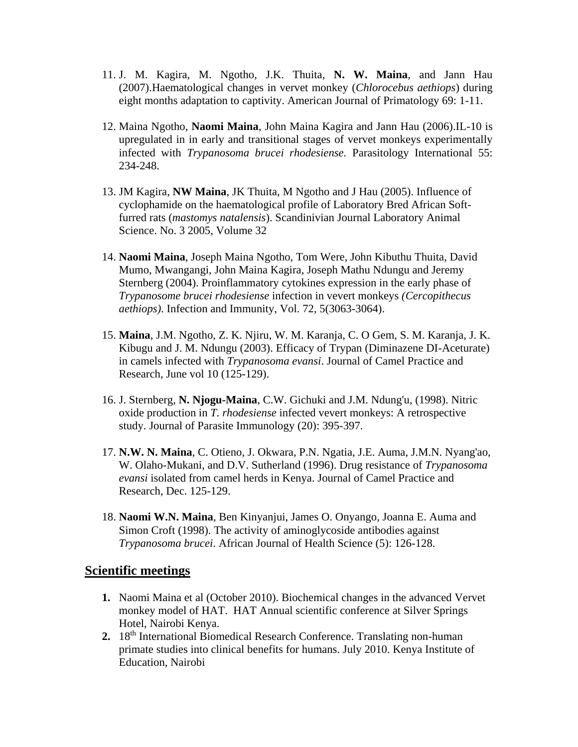- 11. J. M. Kagira, M. Ngotho, J.K. Thuita, **N. W. Maina**, and Jann Hau (2007).Haematological changes in vervet monkey (*Chlorocebus aethiops*) during eight months adaptation to captivity. American Journal of Primatology 69: 1-11.
- 12. Maina Ngotho, **Naomi Maina**, John Maina Kagira and Jann Hau (2006).IL-10 is upregulated in in early and transitional stages of vervet monkeys experimentally infected with *Trypanosoma brucei rhodesiense.* Parasitology International 55: 234-248.
- 13. JM Kagira, **NW Maina**, JK Thuita, M Ngotho and J Hau (2005). Influence of cyclophamide on the haematological profile of Laboratory Bred African Softfurred rats (*mastomys natalensis*). Scandinivian Journal Laboratory Animal Science. No. 3 2005, Volume 32
- 14. **Naomi Maina**, Joseph Maina Ngotho, Tom Were, John Kibuthu Thuita, David Mumo, Mwangangi, John Maina Kagira, Joseph Mathu Ndungu and Jeremy Sternberg (2004). Proinflammatory cytokines expression in the early phase of *Trypanosome brucei rhodesiense* infection in vevert monkeys *(Cercopithecus aethiops)*. Infection and Immunity, Vol. 72, 5(3063-3064).
- 15. **Maina**, J.M. Ngotho, Z. K. Njiru, W. M. Karanja, C. O Gem, S. M. Karanja, J. K. Kibugu and J. M. Ndungu (2003). Efficacy of Trypan (Diminazene DI-Aceturate) in camels infected with *Trypanosoma evansi*. Journal of Camel Practice and Research, June vol 10 (125-129).
- 16. J. Sternberg, **N. Njogu-Maina**, C.W. Gichuki and J.M. Ndung'u, (1998). Nitric oxide production in *T. rhodesiense* infected vevert monkeys: A retrospective study. Journal of Parasite Immunology (20): 395-397.
- 17. **N.W. N. Maina**, C. Otieno, J. Okwara, P.N. Ngatia, J.E. Auma, J.M.N. Nyang'ao, W. Olaho-Mukani, and D.V. Sutherland (1996). Drug resistance of *Trypanosoma evansi* isolated from camel herds in Kenya. Journal of Camel Practice and Research, Dec. 125-129.
- 18. **Naomi W.N. Maina**, Ben Kinyanjui, James O. Onyango, Joanna E. Auma and Simon Croft (1998). The activity of aminoglycoside antibodies against *Trypanosoma brucei*. African Journal of Health Science (5): 126-128.

#### **Scientific meetings**

- **1.** Naomi Maina et al (October 2010). Biochemical changes in the advanced Vervet monkey model of HAT. HAT Annual scientific conference at Silver Springs Hotel, Nairobi Kenya.
- **2.** 18th International Biomedical Research Conference. Translating non-human primate studies into clinical benefits for humans. July 2010. Kenya Institute of Education, Nairobi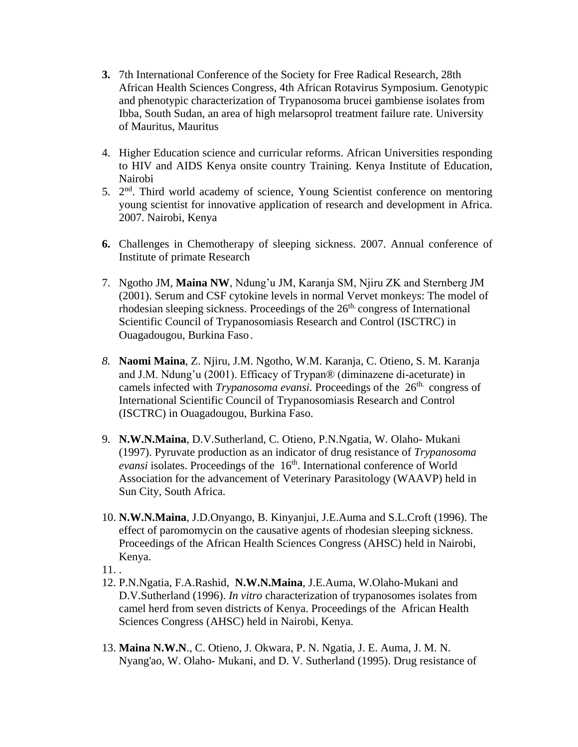- **3.** 7th International Conference of the Society for Free Radical Research, 28th African Health Sciences Congress, 4th African Rotavirus Symposium. Genotypic and phenotypic characterization of Trypanosoma brucei gambiense isolates from Ibba, South Sudan, an area of high melarsoprol treatment failure rate. University of Mauritus, Mauritus
- 4. Higher Education science and curricular reforms. African Universities responding to HIV and AIDS Kenya onsite country Training. Kenya Institute of Education, Nairobi
- 5. 2<sup>nd</sup>. Third world academy of science, Young Scientist conference on mentoring young scientist for innovative application of research and development in Africa. 2007. Nairobi, Kenya
- **6.** Challenges in Chemotherapy of sleeping sickness. 2007. Annual conference of Institute of primate Research
- 7. Ngotho JM, **Maina NW**, Ndung'u JM, Karanja SM, Njiru ZK and Sternberg JM (2001). Serum and CSF cytokine levels in normal Vervet monkeys: The model of rhodesian sleeping sickness. Proceedings of the 26<sup>th</sup> congress of International Scientific Council of Trypanosomiasis Research and Control (ISCTRC) in Ouagadougou, Burkina Faso.
- *8.* **Naomi Maina**, Z. Njiru, J.M. Ngotho, W.M. Karanja, C. Otieno, S. M. Karanja and J.M. Ndung'u (2001). Efficacy of Trypan® (diminazene di-aceturate) in camels infected with *Trypanosoma evansi*. Proceedings of the 26<sup>th.</sup> congress of International Scientific Council of Trypanosomiasis Research and Control (ISCTRC) in Ouagadougou, Burkina Faso.
- 9. **N.W.N.Maina**, D.V.Sutherland, C. Otieno, P.N.Ngatia, W. Olaho- Mukani (1997). Pyruvate production as an indicator of drug resistance of *Trypanosoma evansi* isolates. Proceedings of the 16<sup>th</sup>. International conference of World Association for the advancement of Veterinary Parasitology (WAAVP) held in Sun City, South Africa.
- 10. **N.W.N.Maina**, J.D.Onyango, B. Kinyanjui, J.E.Auma and S.L.Croft (1996). The effect of paromomycin on the causative agents of rhodesian sleeping sickness. Proceedings of the African Health Sciences Congress (AHSC) held in Nairobi, Kenya.
- 11. .
- 12. P.N.Ngatia, F.A.Rashid, **N.W.N.Maina**, J.E.Auma, W.Olaho-Mukani and D.V.Sutherland (1996). *In vitro* characterization of trypanosomes isolates from camel herd from seven districts of Kenya. Proceedings of the African Health Sciences Congress (AHSC) held in Nairobi, Kenya.
- 13. **Maina N.W.N**., C. Otieno, J. Okwara, P. N. Ngatia, J. E. Auma, J. M. N. Nyang'ao, W. Olaho- Mukani, and D. V. Sutherland (1995). Drug resistance of